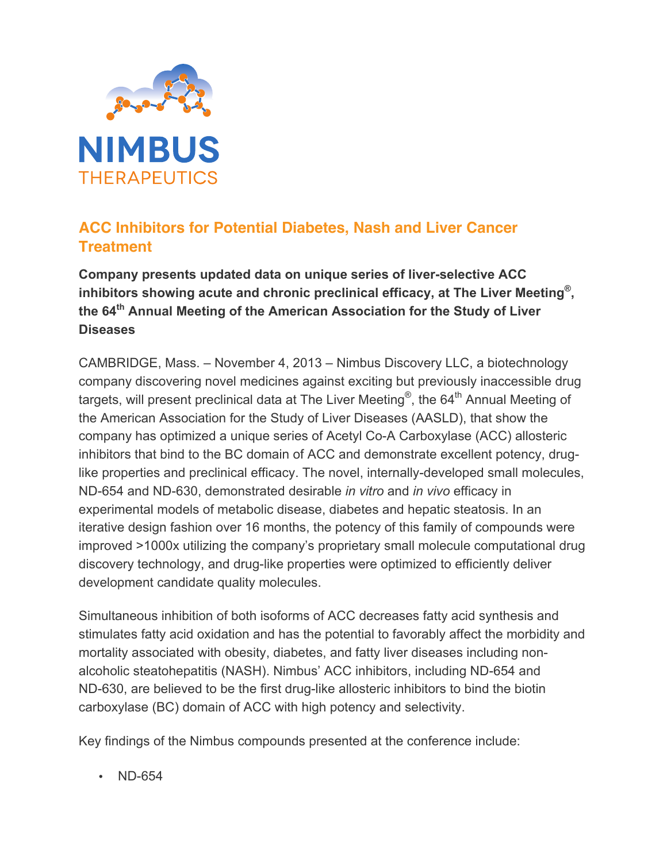

## **ACC Inhibitors for Potential Diabetes, Nash and Liver Cancer Treatment**

**Company presents updated data on unique series of liver-selective ACC inhibitors showing acute and chronic preclinical efficacy, at The Liver Meeting® , the 64th Annual Meeting of the American Association for the Study of Liver Diseases** 

CAMBRIDGE, Mass. – November 4, 2013 – Nimbus Discovery LLC, a biotechnology company discovering novel medicines against exciting but previously inaccessible drug targets, will present preclinical data at The Liver Meeting®, the 64<sup>th</sup> Annual Meeting of the American Association for the Study of Liver Diseases (AASLD), that show the company has optimized a unique series of Acetyl Co-A Carboxylase (ACC) allosteric inhibitors that bind to the BC domain of ACC and demonstrate excellent potency, druglike properties and preclinical efficacy. The novel, internally-developed small molecules, ND-654 and ND-630, demonstrated desirable *in vitro* and *in vivo* efficacy in experimental models of metabolic disease, diabetes and hepatic steatosis. In an iterative design fashion over 16 months, the potency of this family of compounds were improved >1000x utilizing the company's proprietary small molecule computational drug discovery technology, and drug-like properties were optimized to efficiently deliver development candidate quality molecules.

Simultaneous inhibition of both isoforms of ACC decreases fatty acid synthesis and stimulates fatty acid oxidation and has the potential to favorably affect the morbidity and mortality associated with obesity, diabetes, and fatty liver diseases including nonalcoholic steatohepatitis (NASH). Nimbus' ACC inhibitors, including ND-654 and ND-630, are believed to be the first drug-like allosteric inhibitors to bind the biotin carboxylase (BC) domain of ACC with high potency and selectivity.

Key findings of the Nimbus compounds presented at the conference include:

• ND-654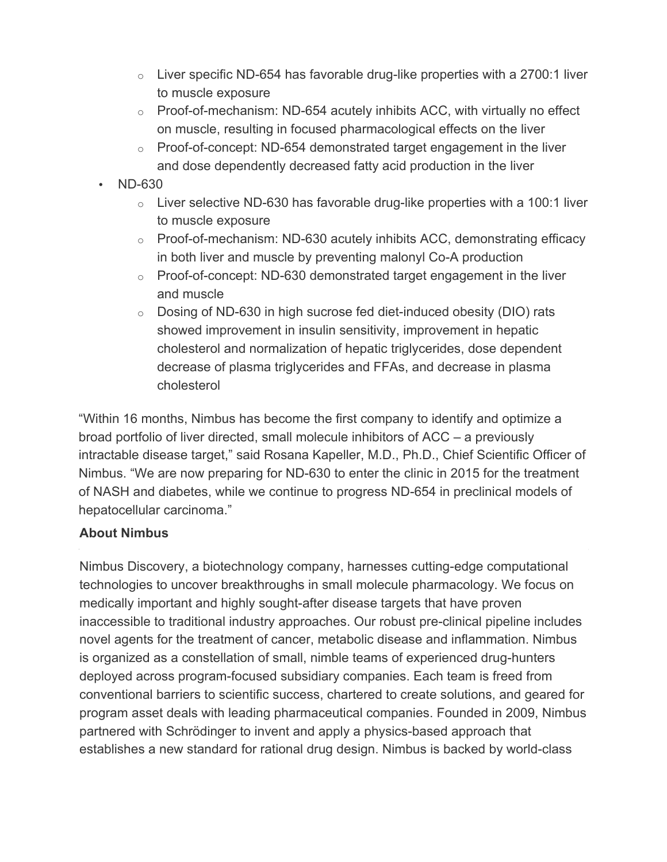- $\circ$  Liver specific ND-654 has favorable drug-like properties with a 2700:1 liver to muscle exposure
- $\circ$  Proof-of-mechanism: ND-654 acutely inhibits ACC, with virtually no effect on muscle, resulting in focused pharmacological effects on the liver
- $\circ$  Proof-of-concept: ND-654 demonstrated target engagement in the liver and dose dependently decreased fatty acid production in the liver
- ND-630
	- $\circ$  Liver selective ND-630 has favorable drug-like properties with a 100:1 liver to muscle exposure
	- o Proof-of-mechanism: ND-630 acutely inhibits ACC, demonstrating efficacy in both liver and muscle by preventing malonyl Co-A production
	- o Proof-of-concept: ND-630 demonstrated target engagement in the liver and muscle
	- o Dosing of ND-630 in high sucrose fed diet-induced obesity (DIO) rats showed improvement in insulin sensitivity, improvement in hepatic cholesterol and normalization of hepatic triglycerides, dose dependent decrease of plasma triglycerides and FFAs, and decrease in plasma cholesterol

"Within 16 months, Nimbus has become the first company to identify and optimize a broad portfolio of liver directed, small molecule inhibitors of ACC – a previously intractable disease target," said Rosana Kapeller, M.D., Ph.D., Chief Scientific Officer of Nimbus. "We are now preparing for ND-630 to enter the clinic in 2015 for the treatment of NASH and diabetes, while we continue to progress ND-654 in preclinical models of hepatocellular carcinoma."

## **About Nimbus**

Nimbus Discovery, a biotechnology company, harnesses cutting-edge computational technologies to uncover breakthroughs in small molecule pharmacology. We focus on medically important and highly sought-after disease targets that have proven inaccessible to traditional industry approaches. Our robust pre-clinical pipeline includes novel agents for the treatment of cancer, metabolic disease and inflammation. Nimbus is organized as a constellation of small, nimble teams of experienced drug-hunters deployed across program-focused subsidiary companies. Each team is freed from conventional barriers to scientific success, chartered to create solutions, and geared for program asset deals with leading pharmaceutical companies. Founded in 2009, Nimbus partnered with Schrödinger to invent and apply a physics-based approach that establishes a new standard for rational drug design. Nimbus is backed by world-class